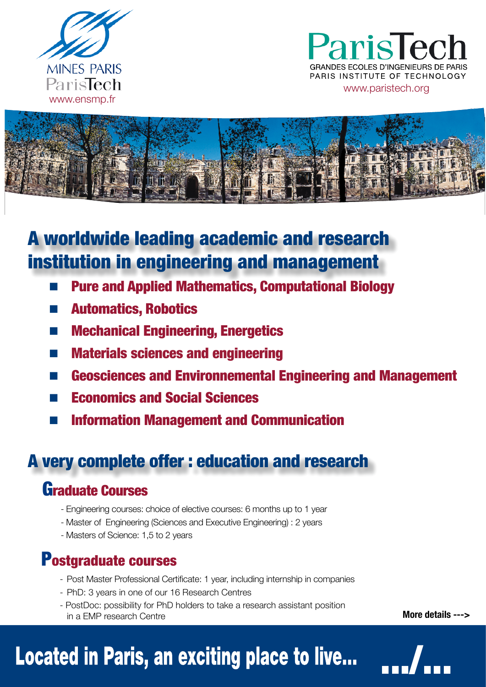

ParisTecl PARIS INSTITUTE OF TECHNOLOGY www.paristech.org



**A worldwide leading academic and research** institution in engineering and management

- **Pure and Applied Mathematics, Computational Biology**
- **Automatics, Robotics**
- **Mechanical Engineering, Energetics**
- **Materials sciences and engineering College**
- **Geosciences and Environnemental Engineering and Management**
- **Economics and Social Sciences**
- **Information Management and Communication**  $\mathcal{L}_{\mathcal{A}}$

## A very complete offer : education and research

#### **Graduate Courses**

- Engineering courses: choice of elective courses: 6 months up to 1 year
- Master of Engineering (Sciences and Executive Engineering) : 2 years
- Masters of Science: 1.5 to 2 years

## **Postgraduate courses**

- Post Master Professional Certificate: 1 year, including internship in companies
- PhD: 3 years in one of our 16 Research Centres
- PostDoc: possibility for PhD holders to take a research assistant position in a FMP research Centre

More details --->

# Located in Paris, an exciting place to live...